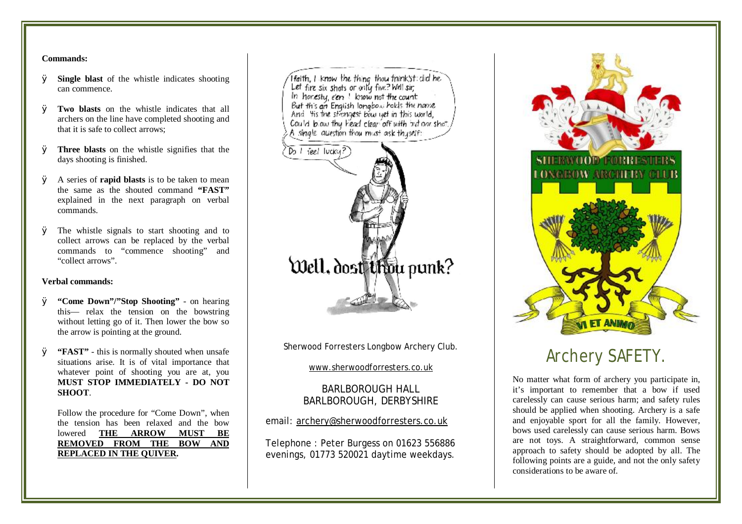#### **Commands:**

- Ø **Single blast** of the whistle indicates shooting can commence.
- Ø **Two blasts** on the whistle indicates that all archers on the line have completed shooting and that it is safe to collect arrows;
- Ø **Three blasts** on the whistle signifies that the days shooting is finished.
- Ø A series of **rapid blasts** is to be taken to mean the same as the shouted command **"FAST"**  explained in the next paragraph on verbal commands.
- Ø The whistle signals to start shooting and to collect arrows can be replaced by the verbal commands to "commence shooting" and "collect arrows".

### **Verbal commands:**

- Ø **"Come Down"/"Stop Shooting"**  on hearing this— relax the tension on the bowstring without letting go of it. Then lower the bow so the arrow is pointing at the ground.
- Ø **"FAST"**  this is normally shouted when unsafe situations arise. It is of vital importance that whatever point of shooting you are at, you **MUST STOP IMMEDIATELY - DO NOT SHOOT**.

Follow the procedure for "Come Down", when the tension has been relaxed and the bow lowered **THE ARROW MUST BE REMOVED FROM THE BOW AND REPLACED IN THE QUIVER.**



Sherwood Forresters Longbow Archery Club.

[www.sherwoodforresters.co.uk](http://www.sherwoodforresters.co.uk)

## BARLBOROUGH HALL BARLBOROUGH, DERBYSHIRE

## email: [archery@sherwoodforresters.co.uk](mailto:archery@sherwoodforresters.co.uk)

Telephone : Peter Burgess on 01623 556886 evenings, 01773 520021 daytime weekdays.



# Archery SAFETY.

No matter what form of archery you participate in, it's important to remember that a bow if used carelessly can cause serious harm; and safety rules should be applied when shooting. Archery is a safe and enjoyable sport for all the family. However, bows used carelessly can cause serious harm. Bows are not toys. A straightforward, common sense approach to safety should be adopted by all. The following points are a guide, and not the only safety considerations to be aware of.